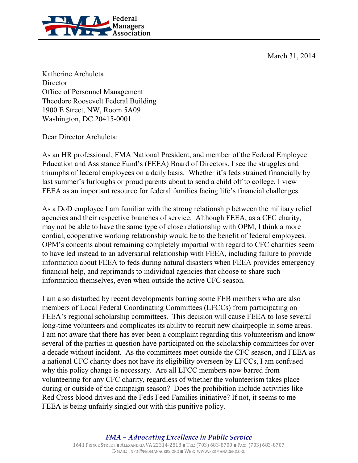March 31, 2014



Katherine Archuleta **Director** Office of Personnel Management Theodore Roosevelt Federal Building 1900 E Street, NW, Room 5A09 Washington, DC 20415-0001

Dear Director Archuleta:

As an HR professional, FMA National President, and member of the Federal Employee Education and Assistance Fund's (FEEA) Board of Directors, I see the struggles and triumphs of federal employees on a daily basis. Whether it's feds strained financially by last summer's furloughs or proud parents about to send a child off to college, I view FEEA as an important resource for federal families facing life's financial challenges.

As a DoD employee I am familiar with the strong relationship between the military relief agencies and their respective branches of service. Although FEEA, as a CFC charity, may not be able to have the same type of close relationship with OPM, I think a more cordial, cooperative working relationship would be to the benefit of federal employees. OPM's concerns about remaining completely impartial with regard to CFC charities seem to have led instead to an adversarial relationship with FEEA, including failure to provide information about FEEA to feds during natural disasters when FEEA provides emergency financial help, and reprimands to individual agencies that choose to share such information themselves, even when outside the active CFC season.

I am also disturbed by recent developments barring some FEB members who are also members of Local Federal Coordinating Committees (LFCCs) from participating on FEEA's regional scholarship committees. This decision will cause FEEA to lose several long-time volunteers and complicates its ability to recruit new chairpeople in some areas. I am not aware that there has ever been a complaint regarding this volunteerism and know several of the parties in question have participated on the scholarship committees for over a decade without incident. As the committees meet outside the CFC season, and FEEA as a national CFC charity does not have its eligibility overseen by LFCCs, I am confused why this policy change is necessary. Are all LFCC members now barred from volunteering for any CFC charity, regardless of whether the volunteerism takes place during or outside of the campaign season? Does the prohibition include activities like Red Cross blood drives and the Feds Feed Families initiative? If not, it seems to me FEEA is being unfairly singled out with this punitive policy.